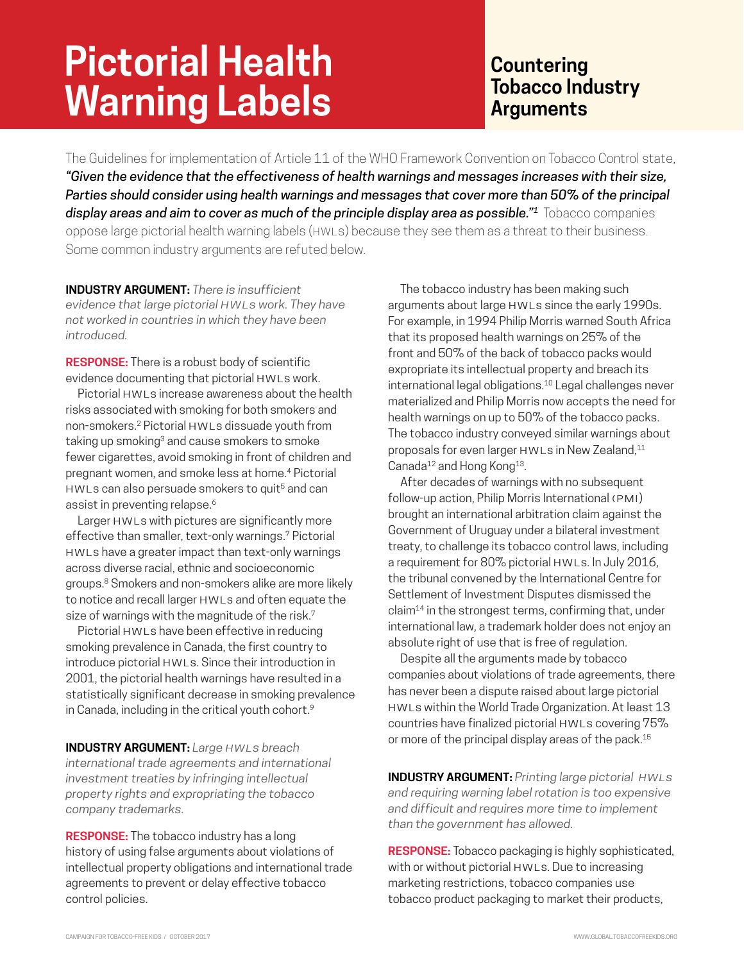## **Pictorial Health Warning Labels**

## **Countering Tobacco Industry Arguments**

The Guidelines for implementation of Article 11 of the WHO Framework Convention on Tobacco Control state, *"Given the evidence that the effectiveness of health warnings and messages increases with their size, Parties should consider using health warnings and messages that cover more than 50% of the principal display areas and aim to cover as much of the principle display area as possible."1* Tobacco companies oppose large pictorial health warning labels (HWLs) because they see them as a threat to their business. Some common industry arguments are refuted below.

**INDUSTRY ARGUMENT:** *There is insufficient evidence that large pictorial HWLs work. They have not worked in countries in which they have been introduced.*

**RESPONSE:** There is a robust body of scientific evidence documenting that pictorial HWLs work.

Pictorial HWLs increase awareness about the health risks associated with smoking for both smokers and non-smokers.2 Pictorial HWLs dissuade youth from taking up smoking<sup>3</sup> and cause smokers to smoke fewer cigarettes, avoid smoking in front of children and pregnant women, and smoke less at home.4 Pictorial HWLs can also persuade smokers to quit<sup>5</sup> and can assist in preventing relapse.<sup>6</sup>

Larger HWLs with pictures are significantly more effective than smaller, text-only warnings.7 Pictorial HWLs have a greater impact than text-only warnings across diverse racial, ethnic and socioeconomic groups.8 Smokers and non-smokers alike are more likely to notice and recall larger HWLs and often equate the size of warnings with the magnitude of the risk.<sup>7</sup>

Pictorial HWLs have been effective in reducing smoking prevalence in Canada, the first country to introduce pictorial HWLs. Since their introduction in 2001, the pictorial health warnings have resulted in a statistically significant decrease in smoking prevalence in Canada, including in the critical youth cohort.<sup>9</sup>

**INDUSTRY ARGUMENT:** *Large HWLs breach international trade agreements and international investment treaties by infringing intellectual property rights and expropriating the tobacco company trademarks.*

**RESPONSE:** The tobacco industry has a long history of using false arguments about violations of intellectual property obligations and international trade agreements to prevent or delay effective tobacco control policies.

The tobacco industry has been making such arguments about large HWLs since the early 1990s. For example, in 1994 Philip Morris warned South Africa that its proposed health warnings on 25% of the front and 50% of the back of tobacco packs would expropriate its intellectual property and breach its international legal obligations.10 Legal challenges never materialized and Philip Morris now accepts the need for health warnings on up to 50% of the tobacco packs. The tobacco industry conveyed similar warnings about proposals for even larger HWLs in New Zealand,<sup>11</sup> Canada<sup>12</sup> and Hong Kong<sup>13</sup>.

After decades of warnings with no subsequent follow-up action, Philip Morris International (PMI) brought an international arbitration claim against the Government of Uruguay under a bilateral investment treaty, to challenge its tobacco control laws, including a requirement for 80% pictorial HWLs. In July 2016, the tribunal convened by the International Centre for Settlement of Investment Disputes dismissed the claim14 in the strongest terms, confirming that, under international law, a trademark holder does not enjoy an absolute right of use that is free of regulation.

Despite all the arguments made by tobacco companies about violations of trade agreements, there has never been a dispute raised about large pictorial HWLs within the World Trade Organization. At least 13 countries have finalized pictorial HWLs covering 75% or more of the principal display areas of the pack.<sup>15</sup>

**INDUSTRY ARGUMENT:** *Printing large pictorial HWLs and requiring warning label rotation is too expensive and difficult and requires more time to implement than the government has allowed.*

**RESPONSE:** Tobacco packaging is highly sophisticated, with or without pictorial HWLs. Due to increasing marketing restrictions, tobacco companies use tobacco product packaging to market their products,